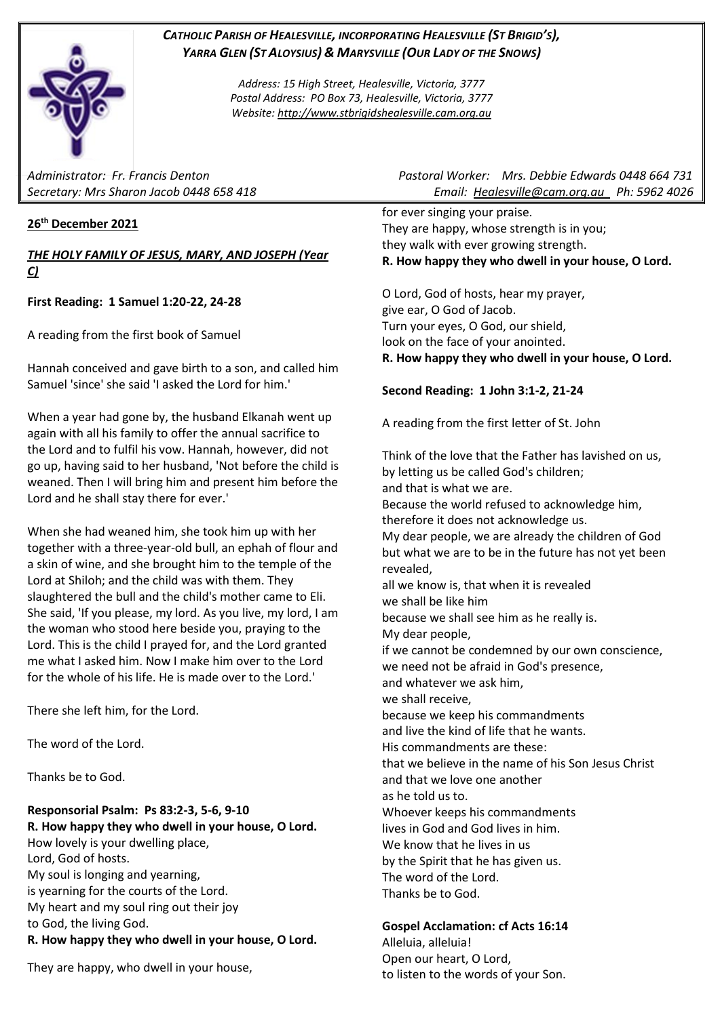

*CATHOLIC PARISH OF HEALESVILLE, INCORPORATING HEALESVILLE (ST BRIGID'S), YARRA GLEN (ST ALOYSIUS) & MARYSVILLE (OUR LADY OF THE SNOWS)*

> *Address: 15 High Street, Healesville, Victoria, 3777 Postal Address: PO Box 73, Healesville, Victoria, 3777 Website: [http://www.stbrigidshealesville.cam.org.au](http://www.stbrigidshealesville.cam.org.au/)*

## **26th December 2021**

### *THE HOLY FAMILY OF JESUS, MARY, AND JOSEPH (Year C)*

**First Reading: 1 Samuel 1:20-22, 24-28**

A reading from the first book of Samuel

Hannah conceived and gave birth to a son, and called him Samuel 'since' she said 'I asked the Lord for him.'

When a year had gone by, the husband Elkanah went up again with all his family to offer the annual sacrifice to the Lord and to fulfil his vow. Hannah, however, did not go up, having said to her husband, 'Not before the child is weaned. Then I will bring him and present him before the Lord and he shall stay there for ever.'

When she had weaned him, she took him up with her together with a three-year-old bull, an ephah of flour and a skin of wine, and she brought him to the temple of the Lord at Shiloh; and the child was with them. They slaughtered the bull and the child's mother came to Eli. She said, 'If you please, my lord. As you live, my lord, I am the woman who stood here beside you, praying to the Lord. This is the child I prayed for, and the Lord granted me what I asked him. Now I make him over to the Lord for the whole of his life. He is made over to the Lord.'

There she left him, for the Lord.

The word of the Lord.

Thanks be to God.

**Responsorial Psalm: Ps 83:2-3, 5-6, 9-10 R. How happy they who dwell in your house, O Lord.** How lovely is your dwelling place, Lord, God of hosts. My soul is longing and yearning, is yearning for the courts of the Lord. My heart and my soul ring out their joy to God, the living God. **R. How happy they who dwell in your house, O Lord.**

They are happy, who dwell in your house,

*Administrator: Fr. Francis Denton Pastoral Worker: Mrs. Debbie Edwards 0448 664 731 Secretary: Mrs Sharon Jacob 0448 658 418 Email: [Healesville@cam.org.au](mailto:Healesville@cam.org.au) Ph: 5962 4026* 

> for ever singing your praise. They are happy, whose strength is in you; they walk with ever growing strength. **R. How happy they who dwell in your house, O Lord.**

> O Lord, God of hosts, hear my prayer, give ear, O God of Jacob. Turn your eyes, O God, our shield, look on the face of your anointed. **R. How happy they who dwell in your house, O Lord.**

# **Second Reading: 1 John 3:1-2, 21-24**

A reading from the first letter of St. John

Think of the love that the Father has lavished on us, by letting us be called God's children; and that is what we are. Because the world refused to acknowledge him, therefore it does not acknowledge us. My dear people, we are already the children of God but what we are to be in the future has not yet been revealed, all we know is, that when it is revealed we shall be like him because we shall see him as he really is. My dear people, if we cannot be condemned by our own conscience, we need not be afraid in God's presence, and whatever we ask him, we shall receive, because we keep his commandments and live the kind of life that he wants. His commandments are these: that we believe in the name of his Son Jesus Christ and that we love one another as he told us to. Whoever keeps his commandments lives in God and God lives in him. We know that he lives in us by the Spirit that he has given us. The word of the Lord. Thanks be to God.

# **Gospel Acclamation: cf Acts 16:14**

Alleluia, alleluia! Open our heart, O Lord, to listen to the words of your Son.